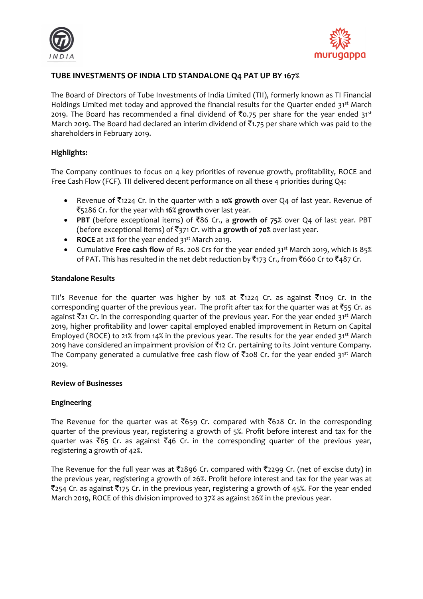



# **TUBE INVESTMENTS OF INDIA LTD STANDALONE Q4 PAT UP BY 167%**

The Board of Directors of Tube Investments of India Limited (TII), formerly known as TI Financial Holdings Limited met today and approved the financial results for the Quarter ended 31st March 2019. The Board has recommended a final dividend of  $\bar{z}$ 0.75 per share for the year ended 31<sup>st</sup> March 2019. The Board had declared an interim dividend of  $\bar{z}$ 1.75 per share which was paid to the shareholders in February 2019.

# **Highlights:**

The Company continues to focus on 4 key priorities of revenue growth, profitability, ROCE and Free Cash Flow (FCF). TII delivered decent performance on all these 4 priorities during Q4:

- **•** Revenue of  $\bar{\tau}$ 1224 Cr. in the quarter with a **10% growth** over Q4 of last year. Revenue of `5286 Cr. for the year with **16% growth** over last year.
- **•** PBT (before exceptional items) of ₹86 Cr., a growth of 75% over Q4 of last year. PBT (before exceptional items) of `371 Cr. with **a growth of 70%** over last year.
- **ROCE** at 21% for the year ended 31<sup>st</sup> March 2019.
- Cumulative Free cash flow of Rs. 208 Crs for the year ended 31<sup>st</sup> March 2019, which is 85% of PAT. This has resulted in the net debt reduction by ₹173 Cr., from ₹660 Cr to ₹487 Cr.

### **Standalone Results**

TII's Revenue for the quarter was higher by 10% at  $\bar{\tau}$ 1224 Cr. as against  $\bar{\tau}$ 1109 Cr. in the corresponding quarter of the previous year. The profit after tax for the quarter was at  $\bar{z}_{55}$  Cr. as against  $\bar{\tau}_{21}$  Cr. in the corresponding quarter of the previous year. For the year ended 31<sup>st</sup> March 2019, higher profitability and lower capital employed enabled improvement in Return on Capital Employed (ROCE) to 21% from 14% in the previous year. The results for the year ended 31<sup>st</sup> March 2019 have considered an impairment provision of  $\bar{z}$ 12 Cr. pertaining to its Joint venture Company. The Company generated a cumulative free cash flow of  $\bar{\tau}$ 208 Cr. for the year ended 31st March 2019.

### **Review of Businesses**

# **Engineering**

The Revenue for the quarter was at  $\bar{c}$ 659 Cr. compared with  $\bar{c}$ 628 Cr. in the corresponding quarter of the previous year, registering a growth of 5%. Profit before interest and tax for the quarter was  $\bar{\xi}65$  Cr. as against  $\bar{\xi}46$  Cr. in the corresponding quarter of the previous year, registering a growth of 42%.

The Revenue for the full year was at  $\overline{z}$ 2896 Cr. compared with  $\overline{z}$ 2299 Cr. (net of excise duty) in the previous year, registering a growth of 26%. Profit before interest and tax for the year was at  $\bar{z}$ 254 Cr. as against  $\bar{z}$ 175 Cr. in the previous year, registering a growth of 45%. For the year ended March 2019, ROCE of this division improved to 37% as against 26% in the previous year.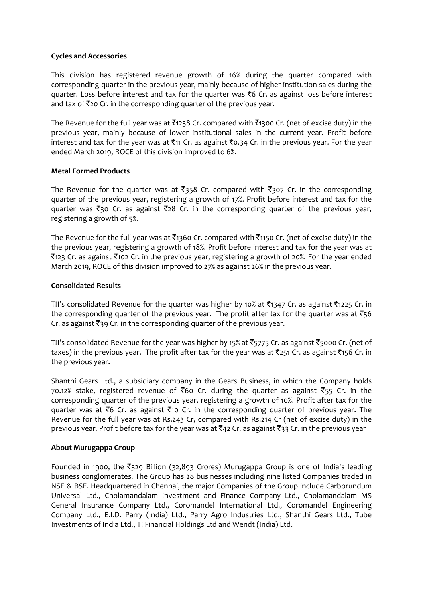# **Cycles and Accessories**

This division has registered revenue growth of 16% during the quarter compared with corresponding quarter in the previous year, mainly because of higher institution sales during the quarter. Loss before interest and tax for the quarter was  $\bar{\tau}6$  Cr. as against loss before interest and tax of  $\bar{\tau}$ 20 Cr. in the corresponding quarter of the previous year.

The Revenue for the full year was at  $\bar{\tau}$ 1238 Cr. compared with  $\bar{\tau}$ 1300 Cr. (net of excise duty) in the previous year, mainly because of lower institutional sales in the current year. Profit before interest and tax for the year was at  $\bar{\tau}_{11}$  Cr. as against  $\bar{\tau}_{0.34}$  Cr. in the previous year. For the year ended March 2019, ROCE of this division improved to 6%.

# **Metal Formed Products**

The Revenue for the quarter was at  $\bar{z}$ 358 Cr. compared with  $\bar{z}$ 307 Cr. in the corresponding quarter of the previous year, registering a growth of 17%. Profit before interest and tax for the quarter was  $\overline{\xi}$ 30 Cr. as against  $\overline{\xi}$ 28 Cr. in the corresponding quarter of the previous year, registering a growth of 5%.

The Revenue for the full year was at  $\bar{\tau}_{1360}$  Cr. compared with  $\bar{\tau}_{1150}$  Cr. (net of excise duty) in the the previous year, registering a growth of 18%. Profit before interest and tax for the year was at  $\bar{z}$ 123 Cr. as against  $\bar{z}$ 102 Cr. in the previous year, registering a growth of 20%. For the year ended March 2019, ROCE of this division improved to 27% as against 26% in the previous year.

# **Consolidated Results**

TII's consolidated Revenue for the quarter was higher by 10% at  $\bar{z}$ 1347 Cr. as against  $\bar{z}$ 1225 Cr. in the corresponding quarter of the previous year. The profit after tax for the quarter was at  $\bar{s}$ 56 Cr. as against  $\bar{\tau}_{39}$  Cr. in the corresponding quarter of the previous year.

TII's consolidated Revenue for the year was higher by 15% at  $\bar{5}$ 5775 Cr. as against  $\bar{5}$ 5000 Cr. (net of taxes) in the previous year. The profit after tax for the year was at  $\bar{z}_{251}$  Cr. as against  $\bar{z}_{156}$  Cr. in the previous year.

Shanthi Gears Ltd., a subsidiary company in the Gears Business, in which the Company holds 70.12% stake, registered revenue of  $\bar{z}$ 60 Cr. during the quarter as against  $\bar{z}$ 55 Cr. in the corresponding quarter of the previous year, registering a growth of 10%. Profit after tax for the quarter was at  $\bar{\tau}$ 6 Cr. as against  $\bar{\tau}$ 10 Cr. in the corresponding quarter of previous year. The Revenue for the full year was at Rs.243 Cr, compared with Rs.214 Cr (net of excise duty) in the previous year. Profit before tax for the year was at  $\bar{\tau}$ 42 Cr. as against  $\bar{\tau}$ 33 Cr. in the previous year

### **About Murugappa Group**

Founded in 1900, the  $\overline{\xi}$ 329 Billion (32,893 Crores) Murugappa Group is one of India's leading business conglomerates. The Group has 28 businesses including nine listed Companies traded in NSE & BSE. Headquartered in Chennai, the major Companies of the Group include Carborundum Universal Ltd., Cholamandalam Investment and Finance Company Ltd., Cholamandalam MS General Insurance Company Ltd., Coromandel International Ltd., Coromandel Engineering Company Ltd., E.I.D. Parry (India) Ltd., Parry Agro Industries Ltd., Shanthi Gears Ltd., Tube Investments of India Ltd., TI Financial Holdings Ltd and Wendt (India) Ltd.